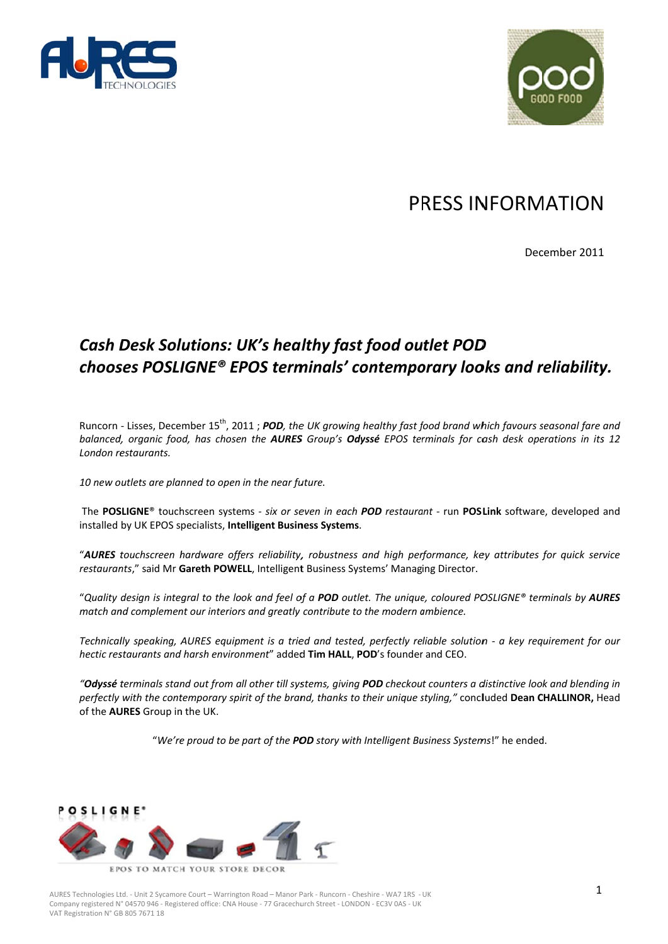



# PRESS INFORMATION

December 2011

## Cash Desk Solutions: UK's healthy fast food outlet POD chooses POSLIGNE® EPOS terminals' contemporary looks and reliability.

Runcorn - Lisses, December 15<sup>th</sup>, 2011; POD, the UK growing healthy fast food brand which favours seasonal fare and balanced, organic food, has chosen the AURES Group's Odyssé EPOS terminals for cash desk operations in its 12 London restaurants.

10 new outlets are planned to open in the near future.

The POSLIGNE® touchscreen systems - six or seven in each POD restaurant - run POSLink software, developed and installed by UK EPOS specialists. Intelligent Business Systems.

"AURES touchscreen hardware offers reliability, robustness and high performance, key attributes for quick service restaurants," said Mr Gareth POWELL, Intelligent Business Systems' Managing Director.

"Quality desian is intearal to the look and feel of a POD outlet. The uniaue, coloured POSLIGNE® terminals by AURES match and complement our interiors and greatly contribute to the modern ambience.

Technically speaking, AURES equipment is a tried and tested, perfectly reliable solution - a key requirement for our hectic restaurants and harsh environment" added Tim HALL, POD's founder and CEO.

"Odyssé terminals stand out from all other till systems, giving POD checkout counters a distinctive look and blending in perfectly with the contemporary spirit of the brand, thanks to their unique styling," concluded Dean CHALLINOR, Head of the AURES Group in the UK.

"We're proud to be part of the POD story with Intelligent Business Systems!" he ended.



AURES Technologies Ltd. - Unit 2 Sycamore Court - Warrington Road - Manor Park - Runcorn - Cheshire - WAZ 1RS - UK Company registered N° 04570 946 - Registered office: CNA House - 77 Gracechurch Street - LONDON - EC3V 0AS - UK VAT Registration N° GB 805 7671 18